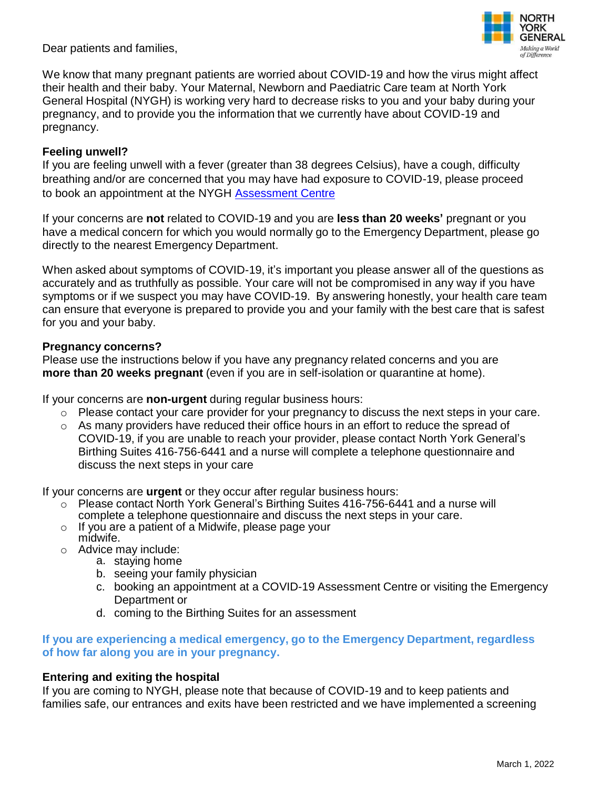Dear patients and families,



We know that many pregnant patients are worried about COVID-19 and how the virus might affect their health and their baby. Your Maternal, Newborn and Paediatric Care team at North York General Hospital (NYGH) is working very hard to decrease risks to you and your baby during your pregnancy, and to provide you the information that we currently have about COVID-19 and pregnancy.

### **Feeling unwell?**

If you are feeling unwell with a fever (greater than 38 degrees Celsius), have a cough, difficulty breathing and/or are concerned that you may have had exposure to COVID-19, please proceed to book an appointment at the NYGH [Assessment Centre](https://nygh.on.ca/patients-and-visitors/covid-19-updates/assessment-centres)

If your concerns are **not** related to COVID-19 and you are **less than 20 weeks'** pregnant or you have a medical concern for which you would normally go to the Emergency Department, please go directly to the nearest Emergency Department.

When asked about symptoms of COVID-19, it's important you please answer all of the questions as accurately and as truthfully as possible. Your care will not be compromised in any way if you have symptoms or if we suspect you may have COVID-19. By answering honestly, your health care team can ensure that everyone is prepared to provide you and your family with the best care that is safest for you and your baby.

#### **Pregnancy concerns?**

Please use the instructions below if you have any pregnancy related concerns and you are **more than 20 weeks pregnant** (even if you are in self-isolation or quarantine at home).

If your concerns are **non-urgent** during regular business hours:

- o Please contact your care provider for your pregnancy to discuss the next steps in your care.
- $\circ$  As many providers have reduced their office hours in an effort to reduce the spread of COVID-19, if you are unable to reach your provider, please contact North York General's Birthing Suites 416-756-6441 and a nurse will complete a telephone questionnaire and discuss the next steps in your care

If your concerns are **urgent** or they occur after regular business hours:

- o Please contact North York General's Birthing Suites 416-756-6441 and a nurse will complete a telephone questionnaire and discuss the next steps in your care.
- o If you are a patient of a Midwife, please page your midwife.
- o Advice may include:
	- a. staying home
	- b. seeing your family physician
	- c. booking an appointment at a COVID-19 Assessment Centre or visiting the Emergency Department or
	- d. coming to the Birthing Suites for an assessment

### **If you are experiencing a medical emergency, go to the Emergency Department, regardless of how far along you are in your pregnancy.**

#### **Entering and exiting the hospital**

If you are coming to NYGH, please note that because of COVID-19 and to keep patients and families safe, our entrances and exits have been restricted and we have implemented a screening